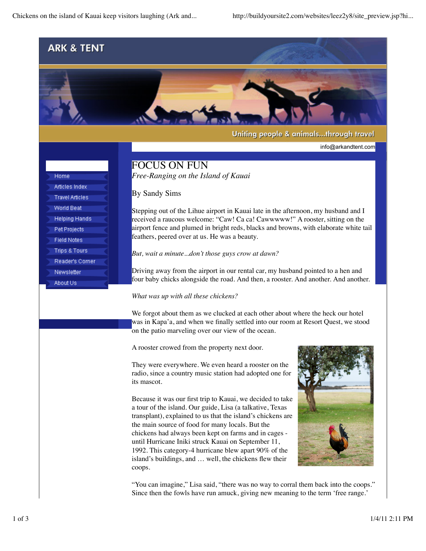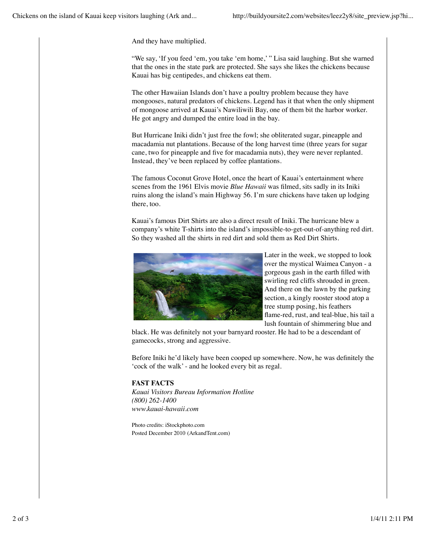And they have multiplied.

"We say, 'If you feed 'em, you take 'em home,' " Lisa said laughing. But she warned that the ones in the state park are protected. She says she likes the chickens because Kauai has big centipedes, and chickens eat them.

The other Hawaiian Islands don't have a poultry problem because they have mongooses, natural predators of chickens. Legend has it that when the only shipment of mongoose arrived at Kauai's Nawiliwili Bay, one of them bit the harbor worker. He got angry and dumped the entire load in the bay.

But Hurricane Iniki didn't just free the fowl; she obliterated sugar, pineapple and macadamia nut plantations. Because of the long harvest time (three years for sugar cane, two for pineapple and five for macadamia nuts), they were never replanted. Instead, they've been replaced by coffee plantations.

The famous Coconut Grove Hotel, once the heart of Kauai's entertainment where scenes from the 1961 Elvis movie *Blue Hawaii* was filmed, sits sadly in its Iniki ruins along the island's main Highway 56. I'm sure chickens have taken up lodging there, too.

Kauai's famous Dirt Shirts are also a direct result of Iniki. The hurricane blew a company's white T-shirts into the island's impossible-to-get-out-of-anything red dirt. So they washed all the shirts in red dirt and sold them as Red Dirt Shirts.



Later in the week, we stopped to look over the mystical Waimea Canyon - a gorgeous gash in the earth filled with swirling red cliffs shrouded in green. And there on the lawn by the parking section, a kingly rooster stood atop a tree stump posing, his feathers flame-red, rust, and teal-blue, his tail a lush fountain of shimmering blue and

black. He was definitely not your barnyard rooster. He had to be a descendant of gamecocks, strong and aggressive.

Before Iniki he'd likely have been cooped up somewhere. Now, he was definitely the 'cock of the walk' - and he looked every bit as regal.

## **FAST FACTS**

*Kauai Visitors Bureau Information Hotline (800) 262-1400 www.kauai-hawaii.com*

Photo credits: iStockphoto.com Posted December 2010 (ArkandTent.com)